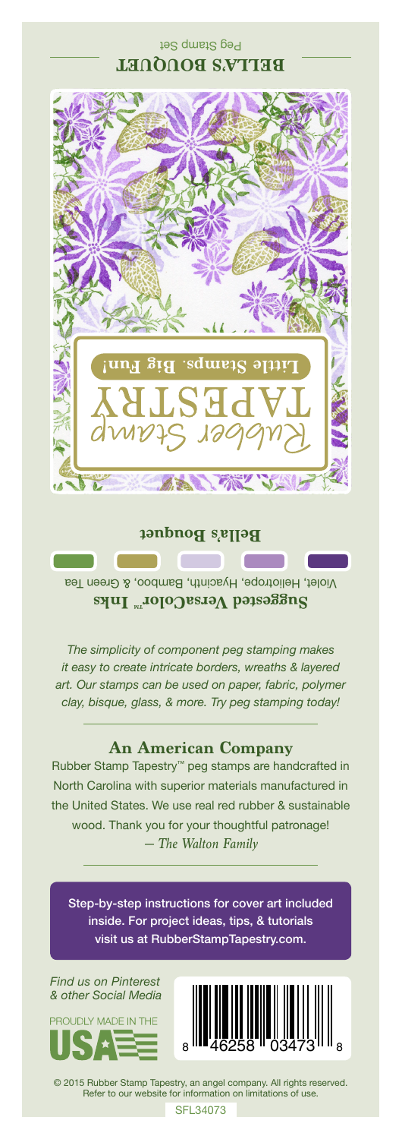Peg Stamp Set BELLA'S BOUQUET



**Bella's Bouquet**

Violet, Heliotrope, Hyacinth, Bamboo, & Green Tea **Suggested VersaColor** Inks

**Contract** 

*The simplicity of component peg stamping makes it easy to create intricate borders, wreaths & layered art. Our stamps can be used on paper, fabric, polymer clay, bisque, glass, & more. Try peg stamping today!*

## **An American Company**

*— The Walton Family* Rubber Stamp Tapestry™ peg stamps are handcrafted in North Carolina with superior materials manufactured in the United States. We use real red rubber & sustainable wood. Thank you for your thoughtful patronage!

Step-by-step instructions for cover art included inside. For project ideas, tips, & tutorials visit us at RubberStampTapestry.com.

*Find us on Pinterest & other Social Media*





© 2015 Rubber Stamp Tapestry, an angel company. All rights reserved. Refer to our website for information on limitations of use.